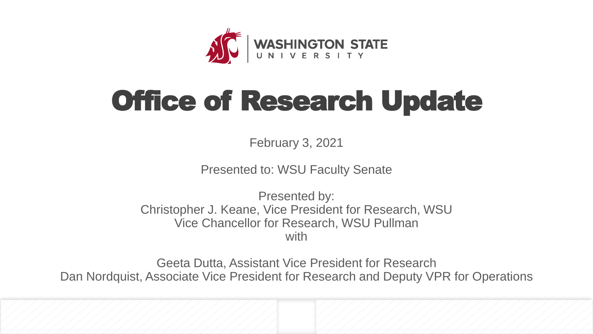

## Office of Research Update

February 3, 2021

Presented to: WSU Faculty Senate

Presented by: Christopher J. Keane, Vice President for Research, WSU Vice Chancellor for Research, WSU Pullman with

Geeta Dutta, Assistant Vice President for Research Dan Nordquist, Associate Vice President for Research and Deputy VPR for Operations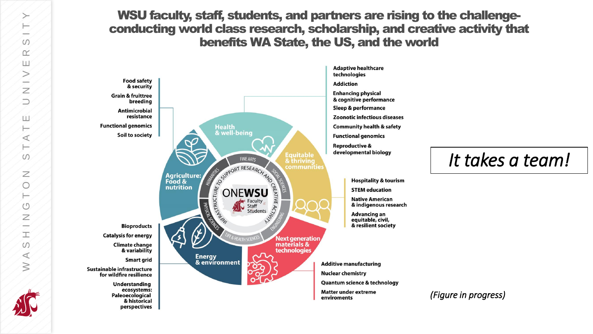WSU faculty, staff, students, and partners are rising to the challengeconducting world class research, scholarship, and creative activity that benefits WA State, the US, and the world



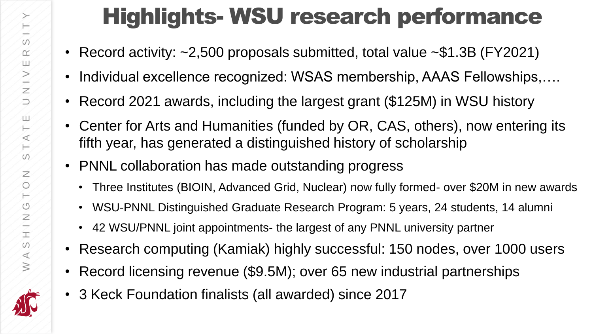## Highlights- WSU research performance

- Record activity: ~2,500 proposals submitted, total value ~\$1.3B (FY2021)
- Individual excellence recognized: WSAS membership, AAAS Fellowships,....
- Record 2021 awards, including the largest grant (\$125M) in WSU history
- Center for Arts and Humanities (funded by OR, CAS, others), now entering its fifth year, has generated a distinguished history of scholarship
- PNNL collaboration has made outstanding progress
	- Three Institutes (BIOIN, Advanced Grid, Nuclear) now fully formed- over \$20M in new awards
	- WSU-PNNL Distinguished Graduate Research Program: 5 years, 24 students, 14 alumni
	- 42 WSU/PNNL joint appointments- the largest of any PNNL university partner
- Research computing (Kamiak) highly successful: 150 nodes, over 1000 users
- Record licensing revenue (\$9.5M); over 65 new industrial partnerships
- 3 Keck Foundation finalists (all awarded) since 2017

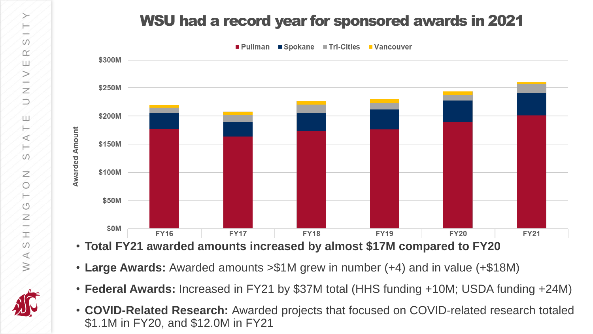### WSU had a record year for sponsored awards in 2021



- **Total FY21 awarded amounts increased by almost \$17M compared to FY20**
- **Large Awards:** Awarded amounts >\$1M grew in number (+4) and in value (+\$18M)
- **Federal Awards:** Increased in FY21 by \$37M total (HHS funding +10M; USDA funding +24M)
- **COVID-Related Research:** Awarded projects that focused on COVID-related research totaled \$1.1M in FY20, and \$12.0M in FY21

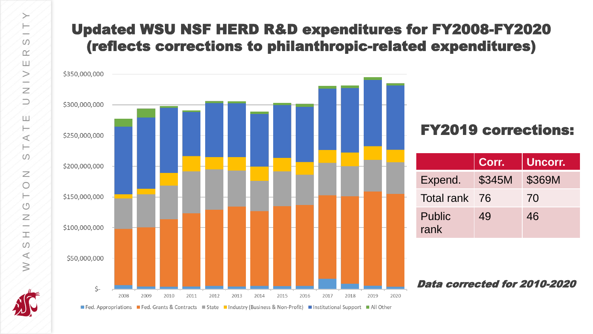### Updated WSU NSF HERD R&D expenditures for FY2008-FY2020 (reflects corrections to philanthropic-related expenditures)



### FY2019 corrections:

|                | Corr.  | Uncorr. |
|----------------|--------|---------|
| Expend.        | \$345M | \$369M  |
| Total rank 76  |        | 70      |
| Public<br>rank | 49     | 46      |

### Data corrected for 2010-2020

Fed. Appropriations Fed. Grants & Contracts Estate Industry (Business & Non-Profit) Institutional Support All Other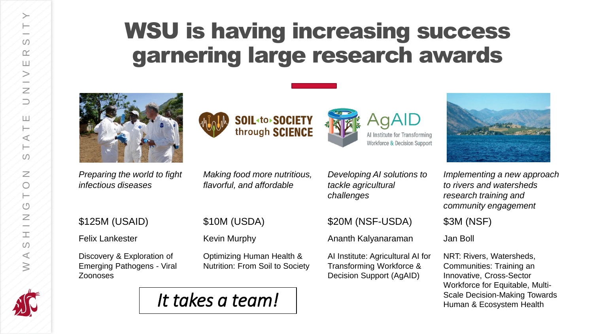پ  $\mathbb F$  $\omega$  $\prec$  $\geq$ 

## WSU is having increasing success garnering large research awards



*Preparing the world to fight infectious diseases*







*Developing AI solutions to tackle agricultural challenges*

\$125M (USAID) \$10M (USDA) \$20M (NSF-USDA) \$3M (NSF)

Felix Lankester **Kevin Murphy** Ananth Kalyanaraman Jan Boll

AI Institute: Agricultural AI for Transforming Workforce & Decision Support (AgAID)



*Implementing a new approach to rivers and watersheds research training and community engagement*

NRT: Rivers, Watersheds, Communities: Training an Innovative, Cross-Sector Workforce for Equitable, Multi-

Discovery & Exploration of Emerging Pathogens - Viral Zoonoses

Optimizing Human Health & Nutrition: From Soil to Society

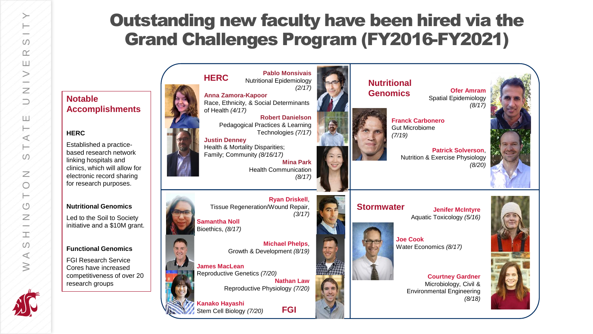## Outstanding new faculty have been hired via the Grand Challenges Program (FY2016-FY2021)

**Notable Accomplishments**

#### **HERC**

Established a practicebased research network linking hospitals and clinics, which will allow for electronic record sharing for research purposes.

#### **Nutritional Genomics**

Led to the Soil to Society initiative and a \$10M grant.

#### **Functional Genomics**

FGI Research Service Cores have increased competitiveness of over 20 research groups



WASHINGTON STATE UNIVERSITY

 $\mathbb{Z}$  $\bigcirc$ ⊢  $(5)$  $\overline{z}$  $\overline{\phantom{a}}$ E  $\omega$  $\prec$  $\geq$ 

ш ⊢  $\prec$ ⊢  $\omega$ 

 $\omega$  $\alpha$ ш  $\geq$ a de la  $\overline{z}$  $\supset$ 

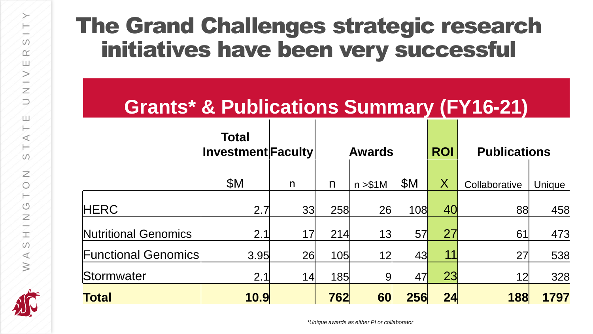## The Grand Challenges strategic research initiatives have been very successful

## **Grants\* & Publications Summary (FY16-21)**

|                             | <b>Total</b><br>$ $ Investment $ $ Faculty $ $ |              | <b>Awards</b> |          | <b>ROI</b> | <b>Publications</b>     |               |        |
|-----------------------------|------------------------------------------------|--------------|---------------|----------|------------|-------------------------|---------------|--------|
|                             | \$M                                            | $\mathsf{n}$ | n             | n > \$1M | \$M        | $\overline{\mathsf{X}}$ | Collaborative | Unique |
| <b>HERC</b>                 | 2.7                                            | 33           | 258           | 26       | 108        | 40                      | 88            | 458    |
| <b>Nutritional Genomics</b> | 2.1                                            | 17           | 214           | 13       | 57         | 27                      | 61            | 473    |
| <b>Functional Genomics</b>  | 3.95                                           | 26           | 105           | 12       | 43         | 11                      | 27            | 538    |
| <b>Stormwater</b>           | 2.1                                            | 14           | 185           | 9        | 47         | 23                      | 12            | 328    |
| Total                       | 10.9                                           |              | 762           | 60       | 256        | 24                      | 188           | 1797   |

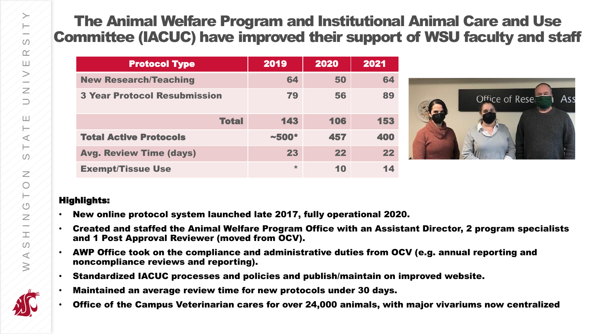### The Animal Welfare Program and Institutional Animal Care and Use Committee (IACUC) have improved their support of WSU faculty and staff

| <b>Protocol Type</b>                | 2019     | 2020 | 2021 |
|-------------------------------------|----------|------|------|
| <b>New Research/Teaching</b>        | 64       | 50   | 64   |
| <b>3 Year Protocol Resubmission</b> | 79       | 56   | 89   |
| <b>Total</b>                        | 143      | 106  | 153  |
| <b>Total Active Protocols</b>       | $~1500*$ | 457  | 400  |
| <b>Avg. Review Time (days)</b>      | 23       | 22   | 22   |
| <b>Exempt/Tissue Use</b>            | $\star$  | 10   | 14   |



#### Highlights:

- New online protocol system launched late 2017, fully operational 2020.
- Created and staffed the Animal Welfare Program Office with an Assistant Director, 2 program specialists and 1 Post Approval Reviewer (moved from OCV).
- AWP Office took on the compliance and administrative duties from OCV (e.g. annual reporting and noncompliance reviews and reporting).
- Standardized IACUC processes and policies and publish/maintain on improved website.
- Maintained an average review time for new protocols under 30 days.
- Office of the Campus Veterinarian cares for over 24,000 animals, with major vivariums now centralized

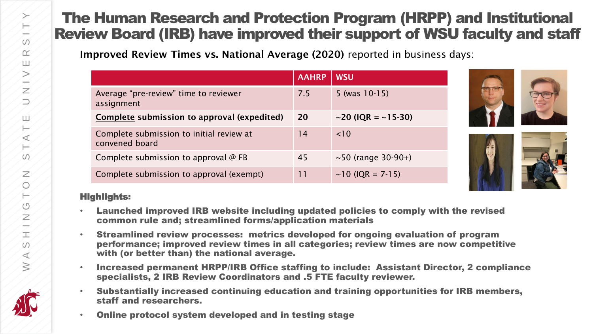### The Human Research and Protection Program (HRPP) and Institutional Review Board (IRB) have improved their support of WSU faculty and staff

Improved Review Times vs. National Average (2020) reported in business days:

|                                                            | <b>AAHRP</b> | <b>WSU</b>                     |
|------------------------------------------------------------|--------------|--------------------------------|
| Average "pre-review" time to reviewer<br>assignment        | 7.5          | 5 (was $10-15$ )               |
| Complete submission to approval (expedited)                | <b>20</b>    | $\sim$ 20 (IQR = $\sim$ 15-30) |
| Complete submission to initial review at<br>convened board | 14           | < 10                           |
| Complete submission to approval @ FB                       | 45           | $\sim$ 50 (range 30-90+)       |
| Complete submission to approval (exempt)                   | 11           | $\sim$ 10 (IQR = 7-15)         |



### Highlights:

- Launched improved IRB website including updated policies to comply with the revised common rule and; streamlined forms/application materials
- Streamlined review processes: metrics developed for ongoing evaluation of program performance; improved review times in all categories; review times are now competitive with (or better than) the national average.
- Increased permanent HRPP/IRB Office staffing to include: Assistant Director, 2 compliance specialists, 2 IRB Review Coordinators and .5 FTE faculty reviewer.
- Substantially increased continuing education and training opportunities for IRB members, staff and researchers.
	- Online protocol system developed and in testing stage

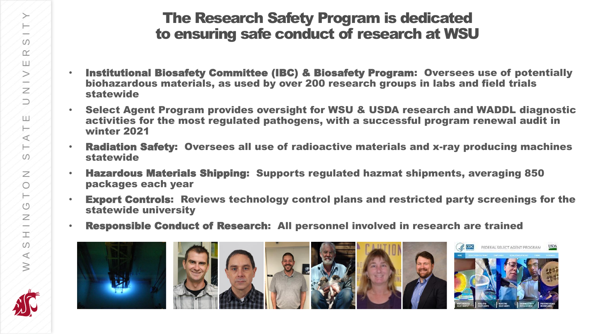### The Research Safety Program is dedicated to ensuring safe conduct of research at WSU

- Institutional Biosafety Committee (IBC) & Biosafety Program: Oversees use of potentially biohazardous materials, as used by over 200 research groups in labs and field trials statewide
- Select Agent Program provides oversight for WSU & USDA research and WADDL diagnostic activities for the most regulated pathogens, with a successful program renewal audit in winter 2021
- Radiation Safety: Oversees all use of radioactive materials and x-ray producing machines statewide
- Hazardous Materials Shipping: Supports regulated hazmat shipments, averaging 850 packages each year
- Export Controls: Reviews technology control plans and restricted party screenings for the statewide university
- Responsible Conduct of Research: All personnel involved in research are trained